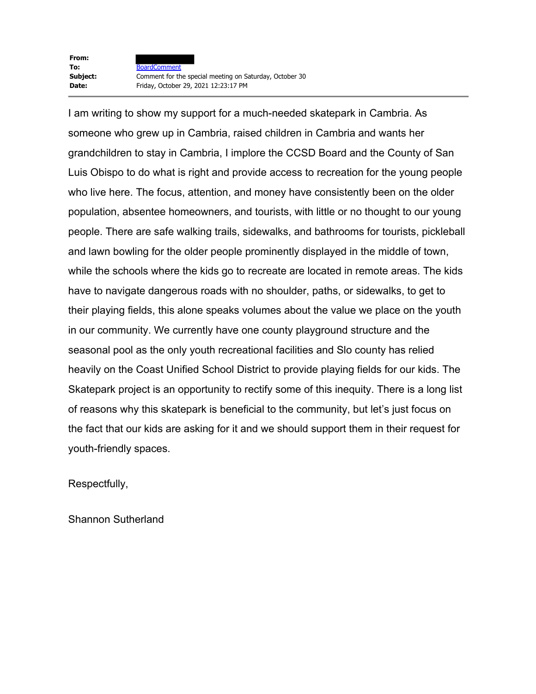**From:** To: **BoardComment** 

I am writing to show my support for a much-needed skatepark in Cambria. As someone who grew up in Cambria, raised children in Cambria and wants her grandchildren to stay in Cambria, I implore the CCSD Board and the County of San Luis Obispo to do what is right and provide access to recreation for the young people who live here. The focus, attention, and money have consistently been on the older population, absentee homeowners, and tourists, with little or no thought to our young people. There are safe walking trails, sidewalks, and bathrooms for tourists, pickleball and lawn bowling for the older people prominently displayed in the middle of town, while the schools where the kids go to recreate are located in remote areas. The kids have to navigate dangerous roads with no shoulder, paths, or sidewalks, to get to their playing fields, this alone speaks volumes about the value we place on the youth in our community. We currently have one county playground structure and the seasonal pool as the only youth recreational facilities and Slo county has relied heavily on the Coast Unified School District to provide playing fields for our kids. The Skatepark project is an opportunity to rectify some of this inequity. There is a long list of reasons why this skatepark is beneficial to the community, but let's just focus on the fact that our kids are asking for it and we should support them in their request for youth-friendly spaces.

Respectfully,

Shannon Sutherland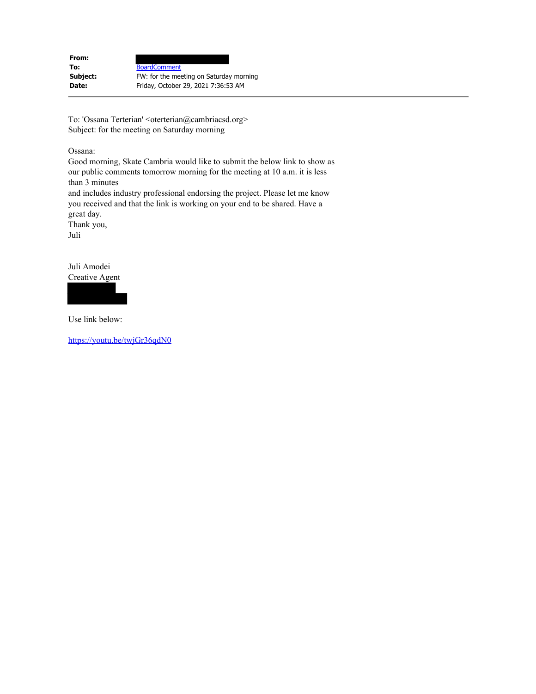| From:    |                                         |
|----------|-----------------------------------------|
| To:      | <b>BoardComment</b>                     |
| Subject: | FW: for the meeting on Saturday morning |
| Date:    | Friday, October 29, 2021 7:36:53 AM     |
|          |                                         |

To: 'Ossana Terterian' <oterterian@cambriacsd.org> Subject: for the meeting on Saturday morning

Ossana:

Good morning, Skate Cambria would like to submit the below link to show as our public comments tomorrow morning for the meeting at 10 a.m. it is less than 3 minutes and includes industry professional endorsing the project. Please let me know

you received and that the link is working on your end to be shared. Have a great day.

Thank you, Juli

Juli Amodei Creative Agent



Use link below:

https://youtu.be/twjGr36qdN0